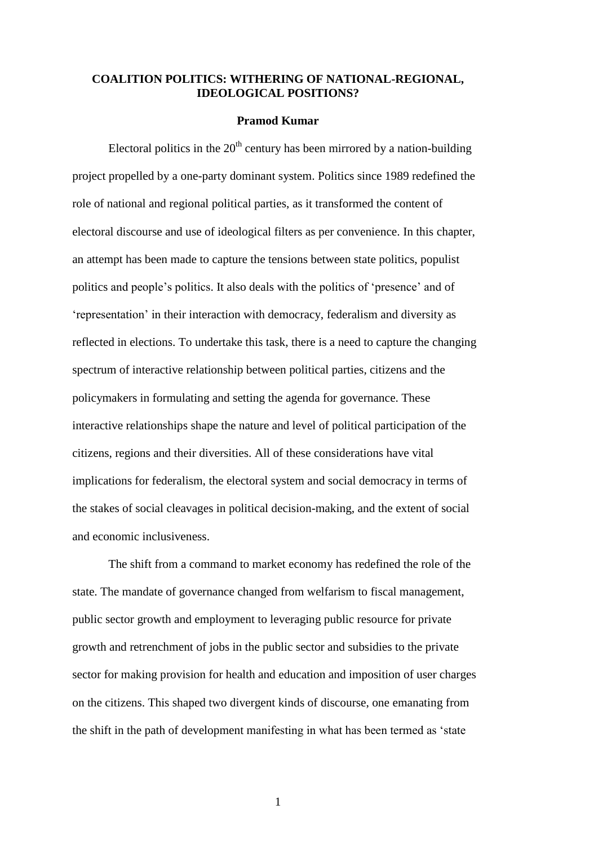#### **COALITION POLITICS: WITHERING OF NATIONAL-REGIONAL, IDEOLOGICAL POSITIONS?**

### **Pramod Kumar**

Electoral politics in the  $20<sup>th</sup>$  century has been mirrored by a nation-building project propelled by a one-party dominant system. Politics since 1989 redefined the role of national and regional political parties, as it transformed the content of electoral discourse and use of ideological filters as per convenience. In this chapter, an attempt has been made to capture the tensions between state politics, populist politics and people's politics. It also deals with the politics of 'presence' and of ‗representation' in their interaction with democracy, federalism and diversity as reflected in elections. To undertake this task, there is a need to capture the changing spectrum of interactive relationship between political parties, citizens and the policymakers in formulating and setting the agenda for governance. These interactive relationships shape the nature and level of political participation of the citizens, regions and their diversities. All of these considerations have vital implications for federalism, the electoral system and social democracy in terms of the stakes of social cleavages in political decision-making, and the extent of social and economic inclusiveness.

The shift from a command to market economy has redefined the role of the state. The mandate of governance changed from welfarism to fiscal management, public sector growth and employment to leveraging public resource for private growth and retrenchment of jobs in the public sector and subsidies to the private sector for making provision for health and education and imposition of user charges on the citizens. This shaped two divergent kinds of discourse, one emanating from the shift in the path of development manifesting in what has been termed as 'state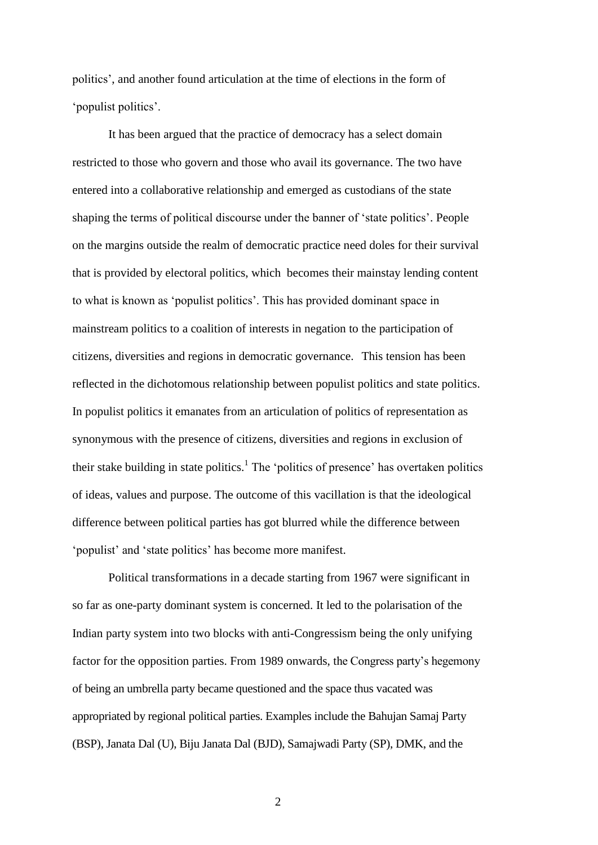politics', and another found articulation at the time of elections in the form of ‗populist politics'.

It has been argued that the practice of democracy has a select domain restricted to those who govern and those who avail its governance. The two have entered into a collaborative relationship and emerged as custodians of the state shaping the terms of political discourse under the banner of 'state politics'. People on the margins outside the realm of democratic practice need doles for their survival that is provided by electoral politics, which becomes their mainstay lending content to what is known as ‗populist politics'. This has provided dominant space in mainstream politics to a coalition of interests in negation to the participation of citizens, diversities and regions in democratic governance. This tension has been reflected in the dichotomous relationship between populist politics and state politics. In populist politics it emanates from an articulation of politics of representation as synonymous with the presence of citizens, diversities and regions in exclusion of their stake building in state politics.<sup>1</sup> The 'politics of presence' has overtaken politics of ideas, values and purpose. The outcome of this vacillation is that the ideological difference between political parties has got blurred while the difference between ‗populist' and ‗state politics' has become more manifest.

Political transformations in a decade starting from 1967 were significant in so far as one-party dominant system is concerned. It led to the polarisation of the Indian party system into two blocks with anti-Congressism being the only unifying factor for the opposition parties. From 1989 onwards, the Congress party's hegemony of being an umbrella party became questioned and the space thus vacated was appropriated by regional political parties. Examples include the Bahujan Samaj Party (BSP), Janata Dal (U), Biju Janata Dal (BJD), Samajwadi Party (SP), DMK, and the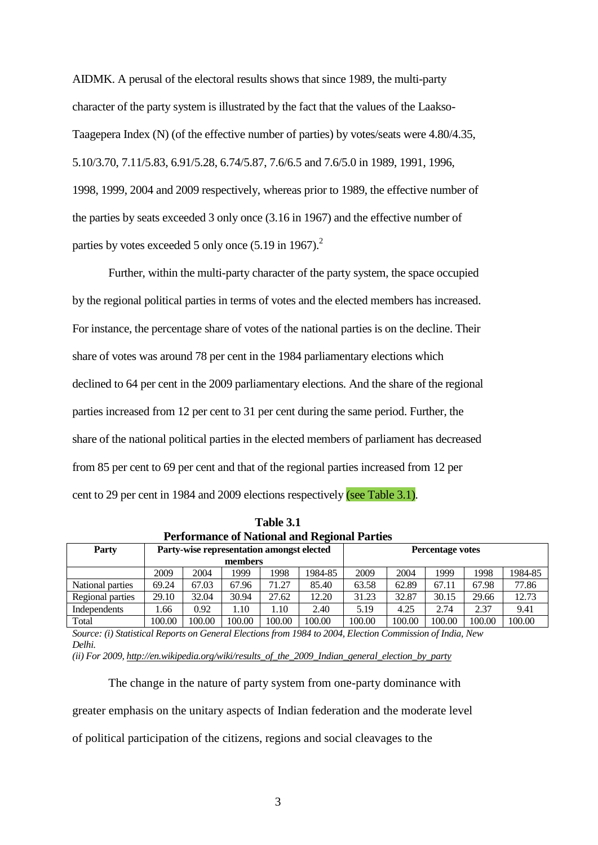AIDMK. A perusal of the electoral results shows that since 1989, the multi-party character of the party system is illustrated by the fact that the values of the Laakso-Taagepera Index (N) (of the effective number of parties) by votes/seats were 4.80/4.35, 5.10/3.70, 7.11/5.83, 6.91/5.28, 6.74/5.87, 7.6/6.5 and 7.6/5.0 in 1989, 1991, 1996, 1998, 1999, 2004 and 2009 respectively, whereas prior to 1989, the effective number of the parties by seats exceeded 3 only once (3.16 in 1967) and the effective number of parties by votes exceeded 5 only once  $(5.19 \text{ in } 1967)$ .<sup>2</sup>

Further, within the multi-party character of the party system, the space occupied by the regional political parties in terms of votes and the elected members has increased. For instance, the percentage share of votes of the national parties is on the decline. Their share of votes was around 78 per cent in the 1984 parliamentary elections which declined to 64 per cent in the 2009 parliamentary elections. And the share of the regional parties increased from 12 per cent to 31 per cent during the same period. Further, the share of the national political parties in the elected members of parliament has decreased from 85 per cent to 69 per cent and that of the regional parties increased from 12 per cent to 29 per cent in 1984 and 2009 elections respectively (see Table 3.1).

| Performance of National and Regional Parties |                                           |        |        |        |                         |        |        |        |        |         |
|----------------------------------------------|-------------------------------------------|--------|--------|--------|-------------------------|--------|--------|--------|--------|---------|
| Party                                        | Party-wise representation amongst elected |        |        |        | <b>Percentage votes</b> |        |        |        |        |         |
|                                              | members                                   |        |        |        |                         |        |        |        |        |         |
|                                              | 2009                                      | 2004   | 1999   | 1998   | 1984-85                 | 2009   | 2004   | 1999   | 1998   | 1984-85 |
| National parties                             | 69.24                                     | 67.03  | 67.96  | 71.27  | 85.40                   | 63.58  | 62.89  | 67.11  | 67.98  | 77.86   |
| Regional parties                             | 29.10                                     | 32.04  | 30.94  | 27.62  | 12.20                   | 31.23  | 32.87  | 30.15  | 29.66  | 12.73   |
| Independents                                 | 1.66                                      | 0.92   | 1.10   | 1.10   | 2.40                    | 5.19   | 4.25   | 2.74   | 2.37   | 9.41    |
| Total                                        | 100.00                                    | 100.00 | 100.00 | 100.00 | 100.00                  | 100.00 | 100.00 | 100.00 | 100.00 | 100.00  |

**Table 3.1 Performance of National and Regional Parties**

*Source: (i) Statistical Reports on General Elections from 1984 to 2004, Election Commission of India, New Delhi.*

*(ii) For 2009[, http://en.wikipedia.org/wiki/results\\_of\\_the\\_2009\\_Indian\\_general\\_election\\_by\\_party](http://en.wikipedia.org/wiki/results_of_the_2009_Indian_general_election_by_party)*

The change in the nature of party system from one-party dominance with greater emphasis on the unitary aspects of Indian federation and the moderate level of political participation of the citizens, regions and social cleavages to the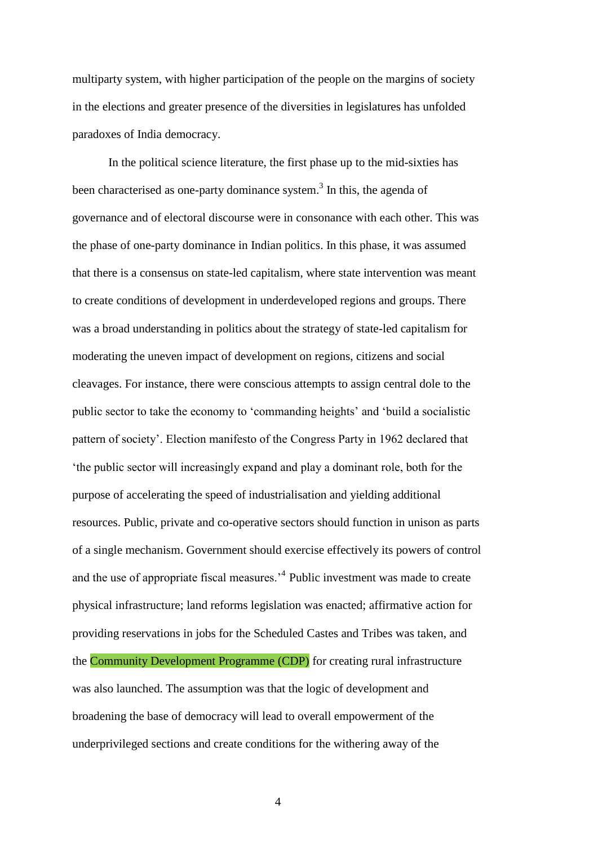multiparty system, with higher participation of the people on the margins of society in the elections and greater presence of the diversities in legislatures has unfolded paradoxes of India democracy.

In the political science literature, the first phase up to the mid-sixties has been characterised as one-party dominance system.<sup>3</sup> In this, the agenda of governance and of electoral discourse were in consonance with each other. This was the phase of one-party dominance in Indian politics. In this phase, it was assumed that there is a consensus on state-led capitalism, where state intervention was meant to create conditions of development in underdeveloped regions and groups. There was a broad understanding in politics about the strategy of state-led capitalism for moderating the uneven impact of development on regions, citizens and social cleavages. For instance, there were conscious attempts to assign central dole to the public sector to take the economy to ‗commanding heights' and ‗build a socialistic pattern of society'. Election manifesto of the Congress Party in 1962 declared that ‗the public sector will increasingly expand and play a dominant role, both for the purpose of accelerating the speed of industrialisation and yielding additional resources. Public, private and co-operative sectors should function in unison as parts of a single mechanism. Government should exercise effectively its powers of control and the use of appropriate fiscal measures.<sup>4</sup> Public investment was made to create physical infrastructure; land reforms legislation was enacted; affirmative action for providing reservations in jobs for the Scheduled Castes and Tribes was taken, and the Community Development Programme (CDP) for creating rural infrastructure was also launched. The assumption was that the logic of development and broadening the base of democracy will lead to overall empowerment of the underprivileged sections and create conditions for the withering away of the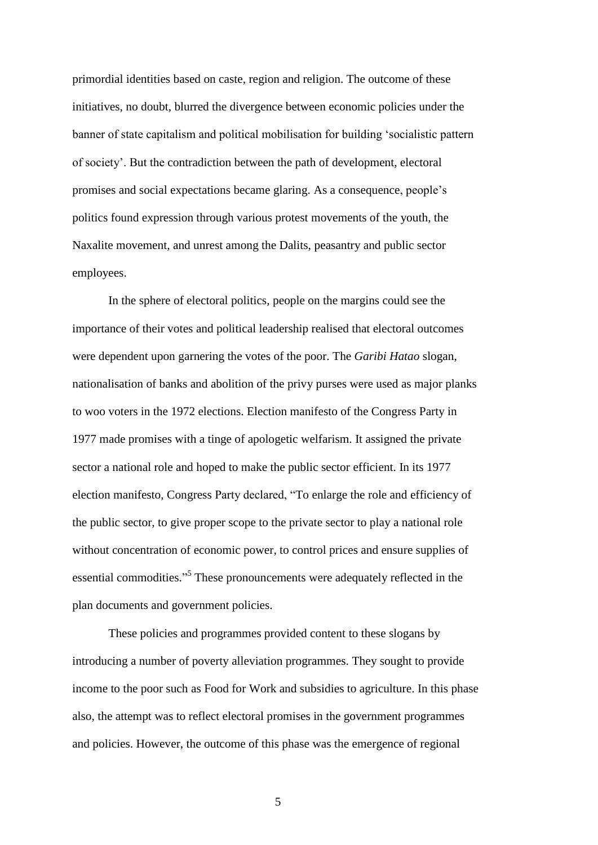primordial identities based on caste, region and religion. The outcome of these initiatives, no doubt, blurred the divergence between economic policies under the banner of state capitalism and political mobilisation for building ‗socialistic pattern of society'. But the contradiction between the path of development, electoral promises and social expectations became glaring. As a consequence, people's politics found expression through various protest movements of the youth, the Naxalite movement, and unrest among the Dalits, peasantry and public sector employees.

In the sphere of electoral politics, people on the margins could see the importance of their votes and political leadership realised that electoral outcomes were dependent upon garnering the votes of the poor. The *Garibi Hatao* slogan, nationalisation of banks and abolition of the privy purses were used as major planks to woo voters in the 1972 elections. Election manifesto of the Congress Party in 1977 made promises with a tinge of apologetic welfarism. It assigned the private sector a national role and hoped to make the public sector efficient. In its 1977 election manifesto, Congress Party declared, "To enlarge the role and efficiency of the public sector, to give proper scope to the private sector to play a national role without concentration of economic power, to control prices and ensure supplies of essential commodities."<sup>5</sup> These pronouncements were adequately reflected in the plan documents and government policies.

These policies and programmes provided content to these slogans by introducing a number of poverty alleviation programmes. They sought to provide income to the poor such as Food for Work and subsidies to agriculture. In this phase also, the attempt was to reflect electoral promises in the government programmes and policies. However, the outcome of this phase was the emergence of regional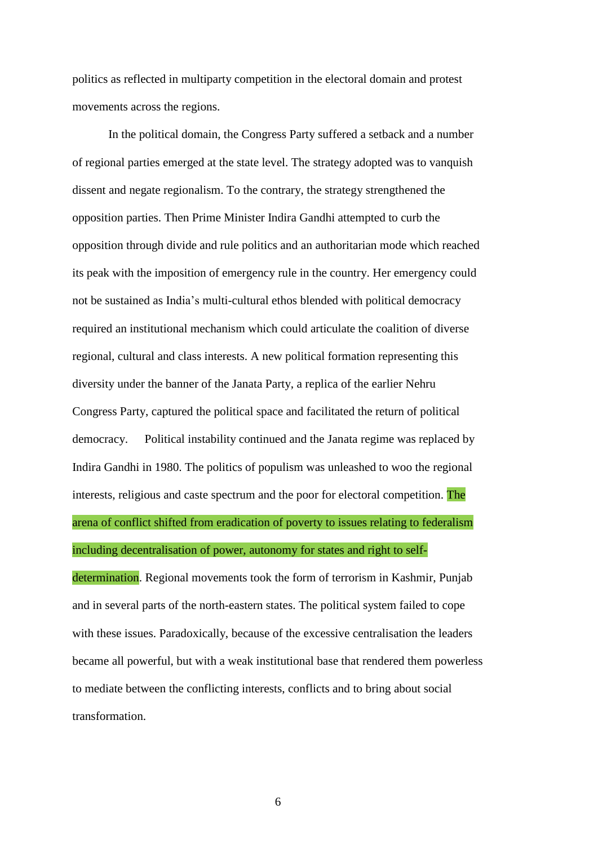politics as reflected in multiparty competition in the electoral domain and protest movements across the regions.

In the political domain, the Congress Party suffered a setback and a number of regional parties emerged at the state level. The strategy adopted was to vanquish dissent and negate regionalism. To the contrary, the strategy strengthened the opposition parties. Then Prime Minister Indira Gandhi attempted to curb the opposition through divide and rule politics and an authoritarian mode which reached its peak with the imposition of emergency rule in the country. Her emergency could not be sustained as India's multi-cultural ethos blended with political democracy required an institutional mechanism which could articulate the coalition of diverse regional, cultural and class interests. A new political formation representing this diversity under the banner of the Janata Party, a replica of the earlier Nehru Congress Party, captured the political space and facilitated the return of political democracy. Political instability continued and the Janata regime was replaced by Indira Gandhi in 1980. The politics of populism was unleashed to woo the regional interests, religious and caste spectrum and the poor for electoral competition. The arena of conflict shifted from eradication of poverty to issues relating to federalism including decentralisation of power, autonomy for states and right to self-

determination. Regional movements took the form of terrorism in Kashmir, Punjab and in several parts of the north-eastern states. The political system failed to cope with these issues. Paradoxically, because of the excessive centralisation the leaders became all powerful, but with a weak institutional base that rendered them powerless to mediate between the conflicting interests, conflicts and to bring about social transformation.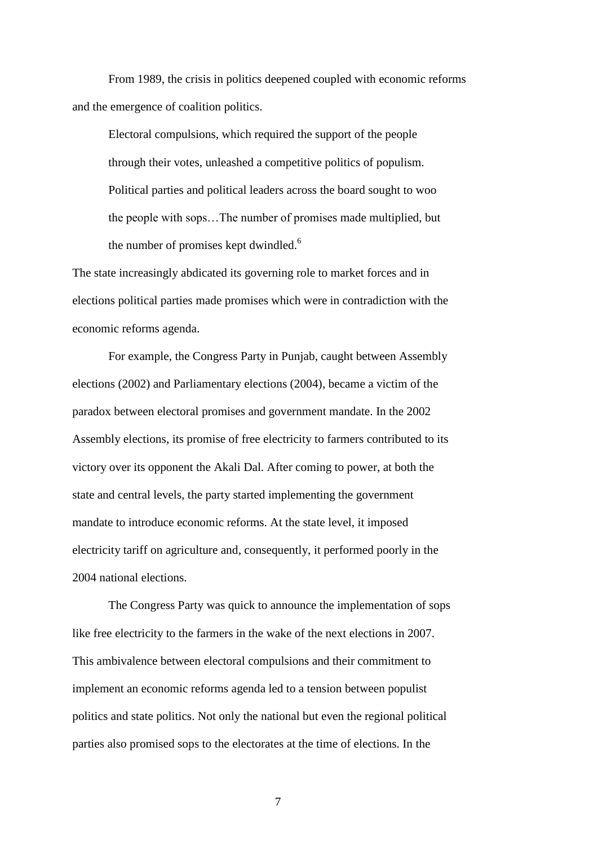From 1989, the crisis in politics deepened coupled with economic reforms and the emergence of coalition politics.

Electoral compulsions, which required the support of the people through their votes, unleashed a competitive politics of populism. Political parties and political leaders across the board sought to woo the people with sops…The number of promises made multiplied, but the number of promises kept dwindled.<sup>6</sup>

The state increasingly abdicated its governing role to market forces and in elections political parties made promises which were in contradiction with the economic reforms agenda.

For example, the Congress Party in Punjab, caught between Assembly elections (2002) and Parliamentary elections (2004), became a victim of the paradox between electoral promises and government mandate. In the 2002 Assembly elections, its promise of free electricity to farmers contributed to its victory over its opponent the Akali Dal. After coming to power, at both the state and central levels, the party started implementing the government mandate to introduce economic reforms. At the state level, it imposed electricity tariff on agriculture and, consequently, it performed poorly in the 2004 national elections.

The Congress Party was quick to announce the implementation of sops like free electricity to the farmers in the wake of the next elections in 2007. This ambivalence between electoral compulsions and their commitment to implement an economic reforms agenda led to a tension between populist politics and state politics. Not only the national but even the regional political parties also promised sops to the electorates at the time of elections. In the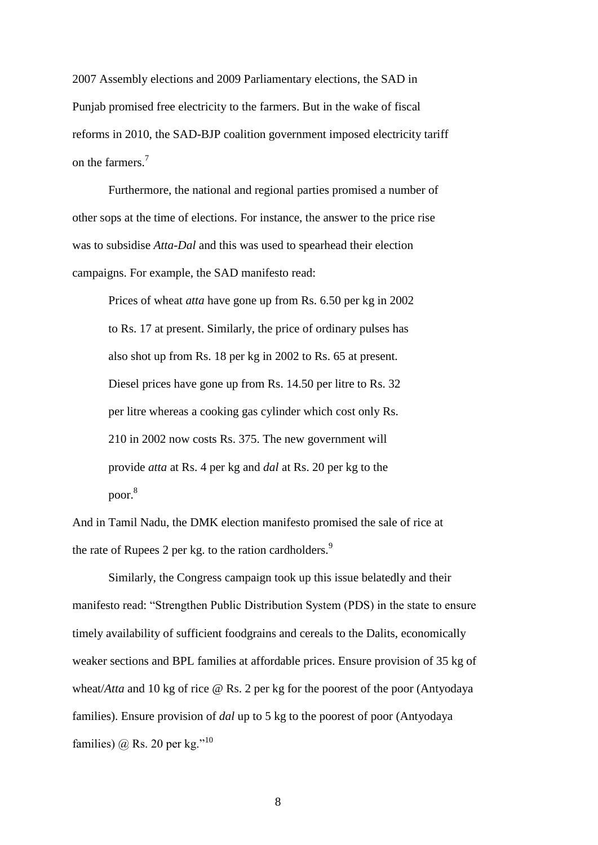2007 Assembly elections and 2009 Parliamentary elections, the SAD in Punjab promised free electricity to the farmers. But in the wake of fiscal reforms in 2010, the SAD-BJP coalition government imposed electricity tariff on the farmers.<sup>7</sup>

Furthermore, the national and regional parties promised a number of other sops at the time of elections. For instance, the answer to the price rise was to subsidise *Atta-Dal* and this was used to spearhead their election campaigns. For example, the SAD manifesto read:

Prices of wheat *atta* have gone up from Rs. 6.50 per kg in 2002 to Rs. 17 at present. Similarly, the price of ordinary pulses has also shot up from Rs. 18 per kg in 2002 to Rs. 65 at present. Diesel prices have gone up from Rs. 14.50 per litre to Rs. 32 per litre whereas a cooking gas cylinder which cost only Rs. 210 in 2002 now costs Rs. 375. The new government will provide *atta* at Rs. 4 per kg and *dal* at Rs. 20 per kg to the poor. 8

And in Tamil Nadu, the DMK election manifesto promised the sale of rice at the rate of Rupees 2 per kg. to the ration cardholders.<sup>9</sup>

Similarly, the Congress campaign took up this issue belatedly and their manifesto read: "Strengthen Public Distribution System (PDS) in the state to ensure timely availability of sufficient foodgrains and cereals to the Dalits, economically weaker sections and BPL families at affordable prices. Ensure provision of 35 kg of wheat/*Atta* and 10 kg of rice @ Rs. 2 per kg for the poorest of the poor (Antyodaya families). Ensure provision of *dal* up to 5 kg to the poorest of poor (Antyodaya families) @ Rs. 20 per kg."<sup>10</sup>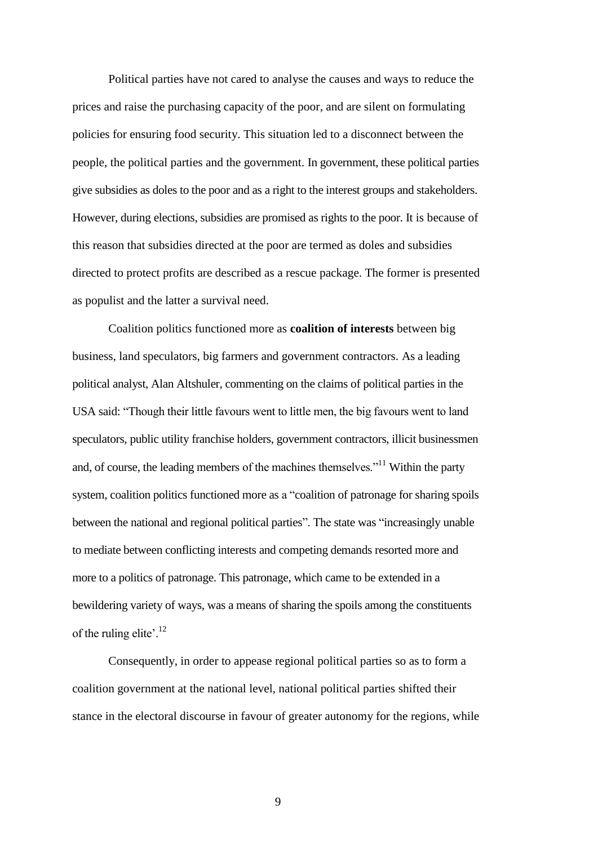Political parties have not cared to analyse the causes and ways to reduce the prices and raise the purchasing capacity of the poor, and are silent on formulating policies for ensuring food security. This situation led to a disconnect between the people, the political parties and the government. In government, these political parties give subsidies as doles to the poor and as a right to the interest groups and stakeholders. However, during elections, subsidies are promised as rights to the poor. It is because of this reason that subsidies directed at the poor are termed as doles and subsidies directed to protect profits are described as a rescue package. The former is presented as populist and the latter a survival need.

Coalition politics functioned more as **coalition of interests** between big business, land speculators, big farmers and government contractors. As a leading political analyst, Alan Altshuler, commenting on the claims of political parties in the USA said: "Though their little favours went to little men, the big favours went to land speculators, public utility franchise holders, government contractors, illicit businessmen and, of course, the leading members of the machines themselves. $11$ <sup>11</sup> Within the party system, coalition politics functioned more as a "coalition of patronage for sharing spoils between the national and regional political parties". The state was "increasingly unable to mediate between conflicting interests and competing demands resorted more and more to a politics of patronage. This patronage, which came to be extended in a bewildering variety of ways, was a means of sharing the spoils among the constituents of the ruling elite'. $^{12}$ 

Consequently, in order to appease regional political parties so as to form a coalition government at the national level, national political parties shifted their stance in the electoral discourse in favour of greater autonomy for the regions, while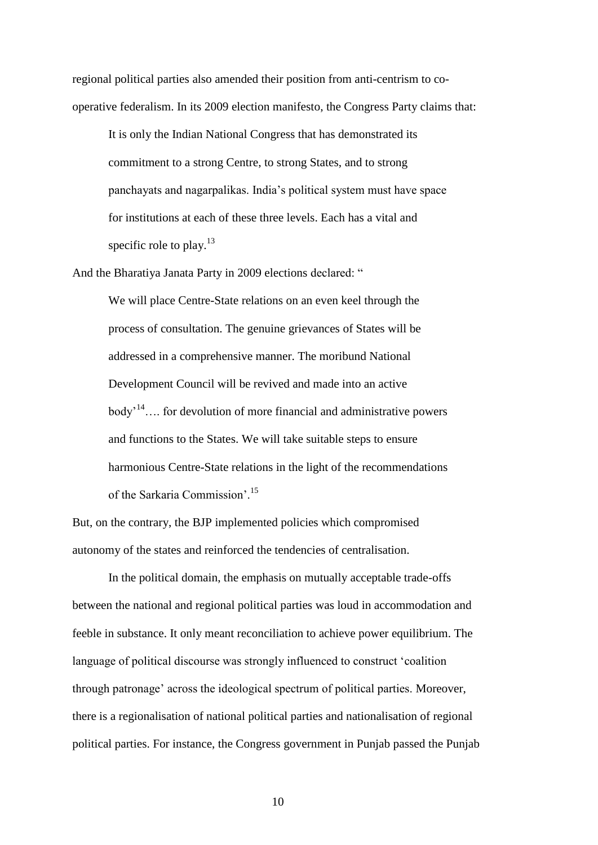regional political parties also amended their position from anti-centrism to cooperative federalism. In its 2009 election manifesto, the Congress Party claims that:

It is only the Indian National Congress that has demonstrated its commitment to a strong Centre, to strong States, and to strong panchayats and nagarpalikas. India's political system must have space for institutions at each of these three levels. Each has a vital and specific role to play.<sup>13</sup>

And the Bharatiya Janata Party in 2009 elections declared: "

We will place Centre-State relations on an even keel through the process of consultation. The genuine grievances of States will be addressed in a comprehensive manner. The moribund National Development Council will be revived and made into an active  $body<sup>14</sup>...$  for devolution of more financial and administrative powers and functions to the States. We will take suitable steps to ensure harmonious Centre-State relations in the light of the recommendations of the Sarkaria Commission'.<sup>15</sup>

But, on the contrary, the BJP implemented policies which compromised autonomy of the states and reinforced the tendencies of centralisation.

In the political domain, the emphasis on mutually acceptable trade-offs between the national and regional political parties was loud in accommodation and feeble in substance. It only meant reconciliation to achieve power equilibrium. The language of political discourse was strongly influenced to construct 'coalition through patronage' across the ideological spectrum of political parties. Moreover, there is a regionalisation of national political parties and nationalisation of regional political parties. For instance, the Congress government in Punjab passed the Punjab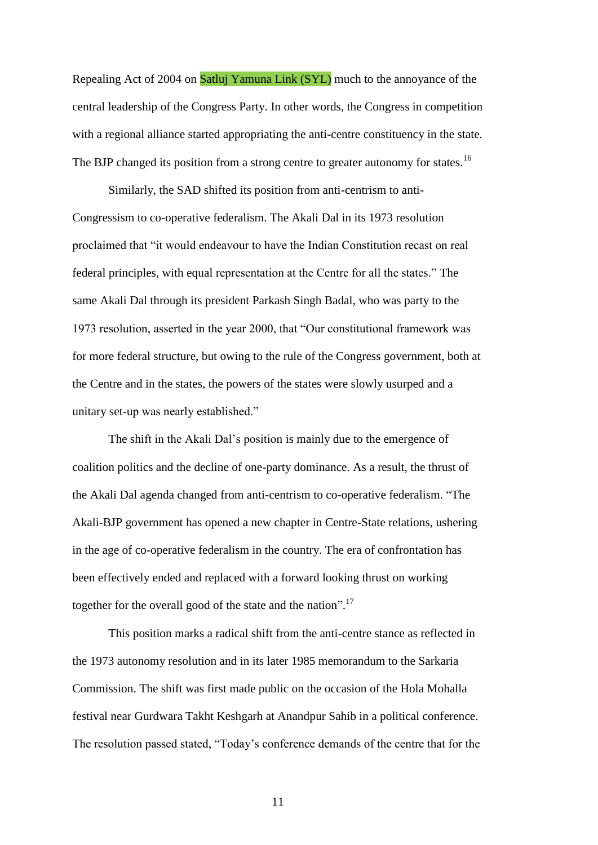Repealing Act of 2004 on Satluj Yamuna Link (SYL) much to the annoyance of the central leadership of the Congress Party. In other words, the Congress in competition with a regional alliance started appropriating the anti-centre constituency in the state. The BJP changed its position from a strong centre to greater autonomy for states.<sup>16</sup>

Similarly, the SAD shifted its position from anti-centrism to anti-Congressism to co-operative federalism. The Akali Dal in its 1973 resolution proclaimed that "it would endeavour to have the Indian Constitution recast on real federal principles, with equal representation at the Centre for all the states." The same Akali Dal through its president Parkash Singh Badal, who was party to the 1973 resolution, asserted in the year 2000, that "Our constitutional framework was for more federal structure, but owing to the rule of the Congress government, both at the Centre and in the states, the powers of the states were slowly usurped and a unitary set-up was nearly established."

The shift in the Akali Dal's position is mainly due to the emergence of coalition politics and the decline of one-party dominance. As a result, the thrust of the Akali Dal agenda changed from anti-centrism to co-operative federalism. "The Akali-BJP government has opened a new chapter in Centre-State relations, ushering in the age of co-operative federalism in the country. The era of confrontation has been effectively ended and replaced with a forward looking thrust on working together for the overall good of the state and the nation".<sup>17</sup>

This position marks a radical shift from the anti-centre stance as reflected in the 1973 autonomy resolution and in its later 1985 memorandum to the Sarkaria Commission. The shift was first made public on the occasion of the Hola Mohalla festival near Gurdwara Takht Keshgarh at Anandpur Sahib in a political conference. The resolution passed stated, "Today's conference demands of the centre that for the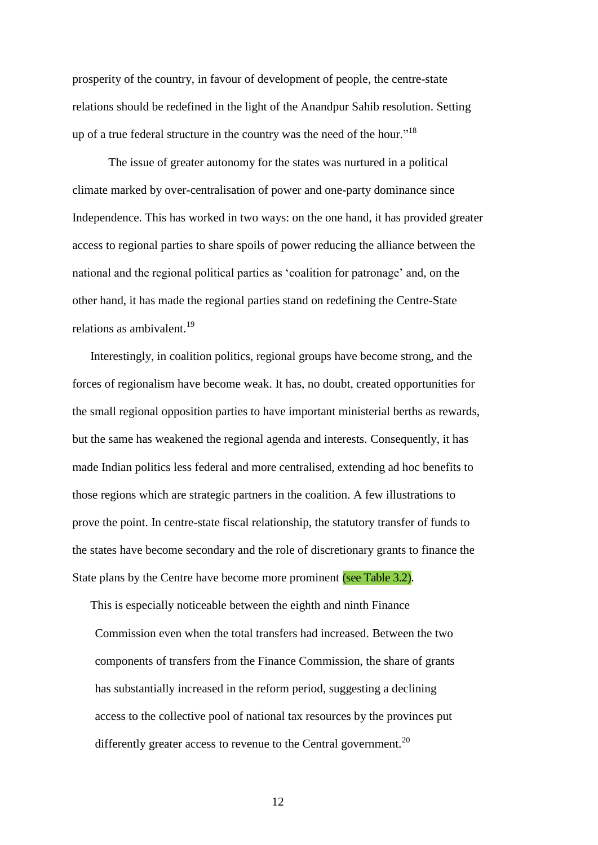prosperity of the country, in favour of development of people, the centre-state relations should be redefined in the light of the Anandpur Sahib resolution. Setting up of a true federal structure in the country was the need of the hour."<sup>18</sup>

The issue of greater autonomy for the states was nurtured in a political climate marked by over-centralisation of power and one-party dominance since Independence. This has worked in two ways: on the one hand, it has provided greater access to regional parties to share spoils of power reducing the alliance between the national and the regional political parties as 'coalition for patronage' and, on the other hand, it has made the regional parties stand on redefining the Centre-State relations as ambivalent. $19$ 

Interestingly, in coalition politics, regional groups have become strong, and the forces of regionalism have become weak. It has, no doubt, created opportunities for the small regional opposition parties to have important ministerial berths as rewards, but the same has weakened the regional agenda and interests. Consequently, it has made Indian politics less federal and more centralised, extending ad hoc benefits to those regions which are strategic partners in the coalition. A few illustrations to prove the point. In centre-state fiscal relationship, the statutory transfer of funds to the states have become secondary and the role of discretionary grants to finance the State plans by the Centre have become more prominent (see Table 3.2).

This is especially noticeable between the eighth and ninth Finance Commission even when the total transfers had increased. Between the two components of transfers from the Finance Commission, the share of grants has substantially increased in the reform period, suggesting a declining access to the collective pool of national tax resources by the provinces put differently greater access to revenue to the Central government.<sup>20</sup>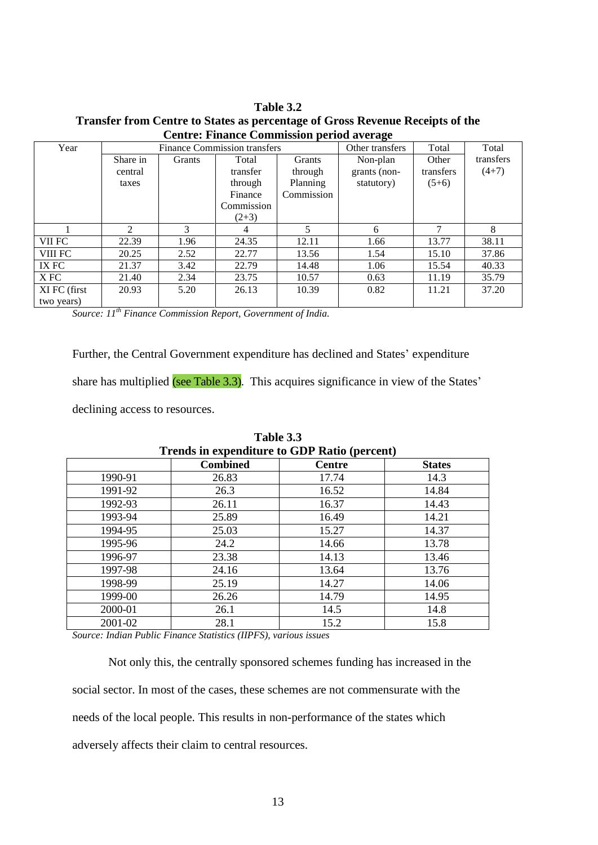**Table 3.2 Transfer from Centre to States as percentage of Gross Revenue Receipts of the Centre: Finance Commission period average**

| Year         |                |        | <b>Finance Commission transfers</b> | Other transfers | Total        | Total     |           |
|--------------|----------------|--------|-------------------------------------|-----------------|--------------|-----------|-----------|
|              | Share in       | Grants | Total                               | Grants          | Non-plan     | Other     | transfers |
|              | central        |        | transfer                            | through         | grants (non- | transfers | $(4+7)$   |
|              | taxes          |        | through                             | Planning        | statutory)   | $(5+6)$   |           |
|              |                |        | Finance                             | Commission      |              |           |           |
|              |                |        | Commission                          |                 |              |           |           |
|              |                |        | $(2+3)$                             |                 |              |           |           |
|              | $\mathfrak{D}$ | 3      | 4                                   | 5.              | 6            | 7         | 8         |
| VII FC       | 22.39          | 1.96   | 24.35                               | 12.11           | 1.66         | 13.77     | 38.11     |
| VIII FC      | 20.25          | 2.52   | 22.77                               | 13.56           | 1.54         | 15.10     | 37.86     |
| IX FC        | 21.37          | 3.42   | 22.79                               | 14.48           | 1.06         | 15.54     | 40.33     |
| X FC         | 21.40          | 2.34   | 23.75                               | 10.57           | 0.63         | 11.19     | 35.79     |
| XI FC (first | 20.93          | 5.20   | 26.13                               | 10.39           | 0.82         | 11.21     | 37.20     |
| two years)   |                |        |                                     |                 |              |           |           |

*Source: 11th Finance Commission Report, Government of India.*

Further, the Central Government expenditure has declined and States' expenditure

share has multiplied (see Table 3.3). This acquires significance in view of the States'

declining access to resources.

| <b>Trends in expenditure to GDP Ratio (percent)</b> |                 |               |               |  |  |  |  |
|-----------------------------------------------------|-----------------|---------------|---------------|--|--|--|--|
|                                                     | <b>Combined</b> | <b>Centre</b> | <b>States</b> |  |  |  |  |
| 1990-91                                             | 26.83           | 17.74         | 14.3          |  |  |  |  |
| 1991-92                                             | 26.3            | 16.52         | 14.84         |  |  |  |  |
| 1992-93                                             | 26.11           | 16.37         | 14.43         |  |  |  |  |
| 1993-94                                             | 25.89           | 16.49         | 14.21         |  |  |  |  |
| 1994-95                                             | 25.03           | 15.27         | 14.37         |  |  |  |  |
| 1995-96                                             | 24.2            | 14.66         | 13.78         |  |  |  |  |
| 1996-97                                             | 23.38           | 14.13         | 13.46         |  |  |  |  |
| 1997-98                                             | 24.16           | 13.64         | 13.76         |  |  |  |  |
| 1998-99                                             | 25.19           | 14.27         | 14.06         |  |  |  |  |
| 1999-00                                             | 26.26           | 14.79         | 14.95         |  |  |  |  |
| 2000-01                                             | 26.1            | 14.5          | 14.8          |  |  |  |  |
| 2001-02                                             | 28.1            | 15.2          | 15.8          |  |  |  |  |

**Table 3.3**

*Source: Indian Public Finance Statistics (IIPFS), various issues*

Not only this, the centrally sponsored schemes funding has increased in the social sector. In most of the cases, these schemes are not commensurate with the needs of the local people. This results in non-performance of the states which adversely affects their claim to central resources.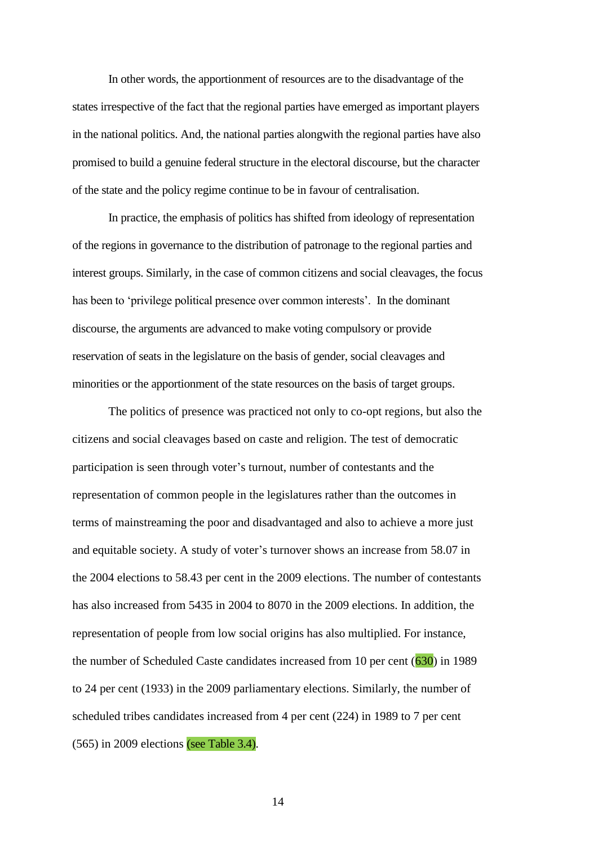In other words, the apportionment of resources are to the disadvantage of the states irrespective of the fact that the regional parties have emerged as important players in the national politics. And, the national parties alongwith the regional parties have also promised to build a genuine federal structure in the electoral discourse, but the character of the state and the policy regime continue to be in favour of centralisation.

In practice, the emphasis of politics has shifted from ideology of representation of the regions in governance to the distribution of patronage to the regional parties and interest groups. Similarly, in the case of common citizens and social cleavages, the focus has been to 'privilege political presence over common interests'. In the dominant discourse, the arguments are advanced to make voting compulsory or provide reservation of seats in the legislature on the basis of gender, social cleavages and minorities or the apportionment of the state resources on the basis of target groups.

The politics of presence was practiced not only to co-opt regions, but also the citizens and social cleavages based on caste and religion. The test of democratic participation is seen through voter's turnout, number of contestants and the representation of common people in the legislatures rather than the outcomes in terms of mainstreaming the poor and disadvantaged and also to achieve a more just and equitable society. A study of voter's turnover shows an increase from 58.07 in the 2004 elections to 58.43 per cent in the 2009 elections. The number of contestants has also increased from 5435 in 2004 to 8070 in the 2009 elections. In addition, the representation of people from low social origins has also multiplied. For instance, the number of Scheduled Caste candidates increased from 10 per cent (630) in 1989 to 24 per cent (1933) in the 2009 parliamentary elections. Similarly, the number of scheduled tribes candidates increased from 4 per cent (224) in 1989 to 7 per cent (565) in 2009 elections (see Table 3.4).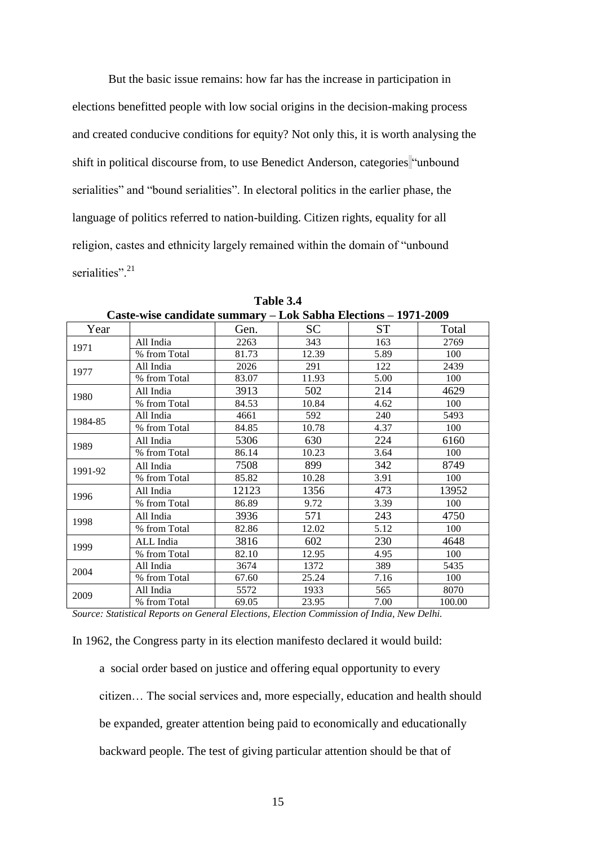But the basic issue remains: how far has the increase in participation in elections benefitted people with low social origins in the decision-making process and created conducive conditions for equity? Not only this, it is worth analysing the shift in political discourse from, to use Benedict Anderson, categories "unbound serialities" and "bound serialities". In electoral politics in the earlier phase, the language of politics referred to nation-building. Citizen rights, equality for all religion, castes and ethnicity largely remained within the domain of "unbound serialities".<sup>21</sup>

| Year    |              | Gen.  | <b>SC</b> | <b>ST</b> | Total  |
|---------|--------------|-------|-----------|-----------|--------|
| 1971    | All India    | 2263  | 343       | 163       | 2769   |
|         | % from Total | 81.73 | 12.39     | 5.89      | 100    |
| 1977    | All India    | 2026  | 291       | 122       | 2439   |
|         | % from Total | 83.07 | 11.93     | 5.00      | 100    |
| 1980    | All India    | 3913  | 502       | 214       | 4629   |
|         | % from Total | 84.53 | 10.84     | 4.62      | 100    |
| 1984-85 | All India    | 4661  | 592       | 240       | 5493   |
|         | % from Total | 84.85 | 10.78     | 4.37      | 100    |
| 1989    | All India    | 5306  | 630       | 224       | 6160   |
|         | % from Total | 86.14 | 10.23     | 3.64      | 100    |
| 1991-92 | All India    | 7508  | 899       | 342       | 8749   |
|         | % from Total | 85.82 | 10.28     | 3.91      | 100    |
| 1996    | All India    | 12123 | 1356      | 473       | 13952  |
|         | % from Total | 86.89 | 9.72      | 3.39      | 100    |
| 1998    | All India    | 3936  | 571       | 243       | 4750   |
|         | % from Total | 82.86 | 12.02     | 5.12      | 100    |
| 1999    | ALL India    | 3816  | 602       | 230       | 4648   |
|         | % from Total | 82.10 | 12.95     | 4.95      | 100    |
| 2004    | All India    | 3674  | 1372      | 389       | 5435   |
|         | % from Total | 67.60 | 25.24     | 7.16      | 100    |
| 2009    | All India    | 5572  | 1933      | 565       | 8070   |
|         | % from Total | 69.05 | 23.95     | 7.00      | 100.00 |

**Table 3.4 Caste-wise candidate summary – Lok Sabha Elections – 1971-2009**

*Source: Statistical Reports on General Elections, Election Commission of India, New Delhi.*

In 1962, the Congress party in its election manifesto declared it would build:

a social order based on justice and offering equal opportunity to every citizen… The social services and, more especially, education and health should be expanded, greater attention being paid to economically and educationally backward people. The test of giving particular attention should be that of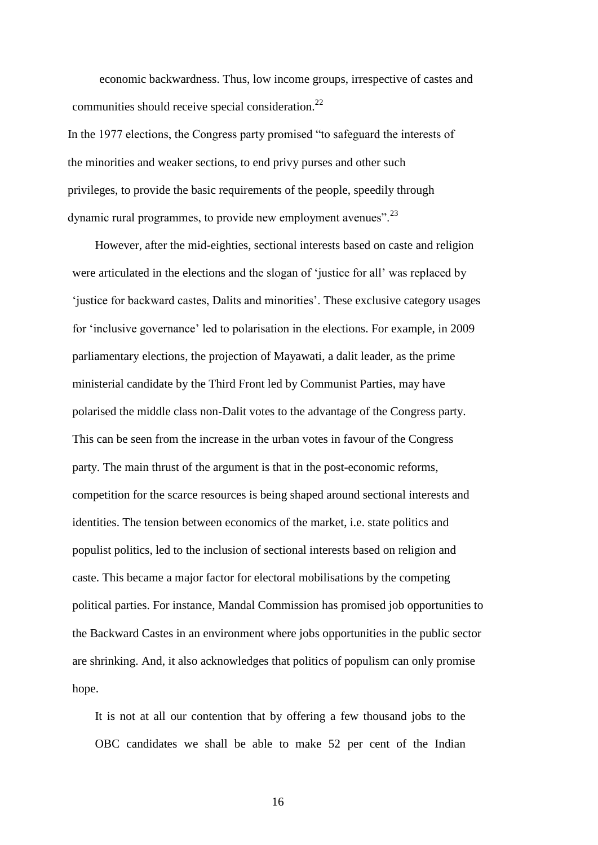economic backwardness. Thus, low income groups, irrespective of castes and communities should receive special consideration.<sup>22</sup>

In the 1977 elections, the Congress party promised "to safeguard the interests of the minorities and weaker sections, to end privy purses and other such privileges, to provide the basic requirements of the people, speedily through dynamic rural programmes, to provide new employment avenues".  $^{23}$ 

However, after the mid-eighties, sectional interests based on caste and religion were articulated in the elections and the slogan of 'justice for all' was replaced by ‗justice for backward castes, Dalits and minorities'. These exclusive category usages for ‗inclusive governance' led to polarisation in the elections. For example, in 2009 parliamentary elections, the projection of Mayawati, a dalit leader, as the prime ministerial candidate by the Third Front led by Communist Parties, may have polarised the middle class non-Dalit votes to the advantage of the Congress party. This can be seen from the increase in the urban votes in favour of the Congress party. The main thrust of the argument is that in the post-economic reforms, competition for the scarce resources is being shaped around sectional interests and identities. The tension between economics of the market, i.e. state politics and populist politics, led to the inclusion of sectional interests based on religion and caste. This became a major factor for electoral mobilisations by the competing political parties. For instance, Mandal Commission has promised job opportunities to the Backward Castes in an environment where jobs opportunities in the public sector are shrinking. And, it also acknowledges that politics of populism can only promise hope.

It is not at all our contention that by offering a few thousand jobs to the OBC candidates we shall be able to make 52 per cent of the Indian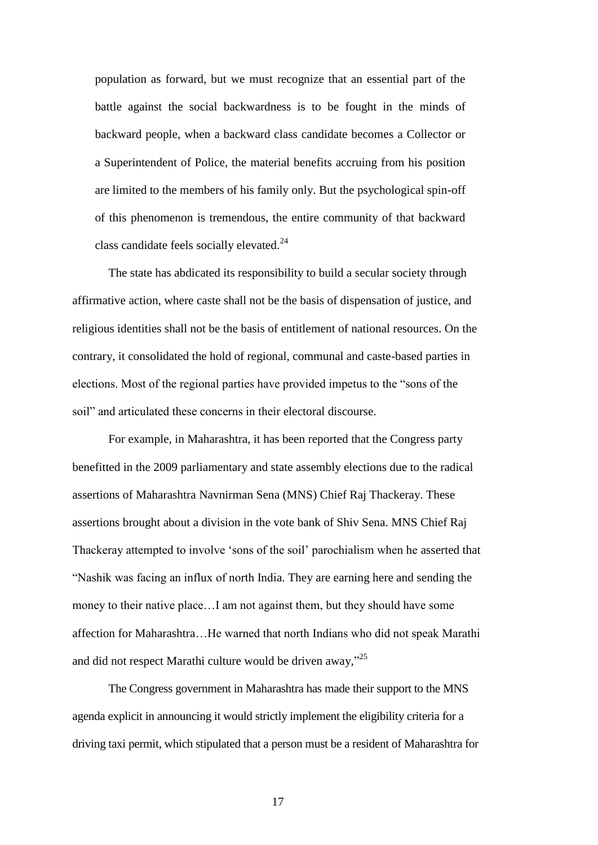population as forward, but we must recognize that an essential part of the battle against the social backwardness is to be fought in the minds of backward people, when a backward class candidate becomes a Collector or a Superintendent of Police, the material benefits accruing from his position are limited to the members of his family only. But the psychological spin-off of this phenomenon is tremendous, the entire community of that backward class candidate feels socially elevated. $^{24}$ 

The state has abdicated its responsibility to build a secular society through affirmative action, where caste shall not be the basis of dispensation of justice, and religious identities shall not be the basis of entitlement of national resources. On the contrary, it consolidated the hold of regional, communal and caste-based parties in elections. Most of the regional parties have provided impetus to the "sons of the soil" and articulated these concerns in their electoral discourse.

For example, in Maharashtra, it has been reported that the Congress party benefitted in the 2009 parliamentary and state assembly elections due to the radical assertions of Maharashtra Navnirman Sena (MNS) Chief Raj Thackeray. These assertions brought about a division in the vote bank of Shiv Sena. MNS Chief Raj Thackeray attempted to involve 'sons of the soil' parochialism when he asserted that ―Nashik was facing an influx of north India. They are earning here and sending the money to their native place…I am not against them, but they should have some affection for Maharashtra…He warned that north Indians who did not speak Marathi and did not respect Marathi culture would be driven away," $25$ 

The Congress government in Maharashtra has made their support to the MNS agenda explicit in announcing it would strictly implement the eligibility criteria for a driving taxi permit, which stipulated that a person must be a resident of Maharashtra for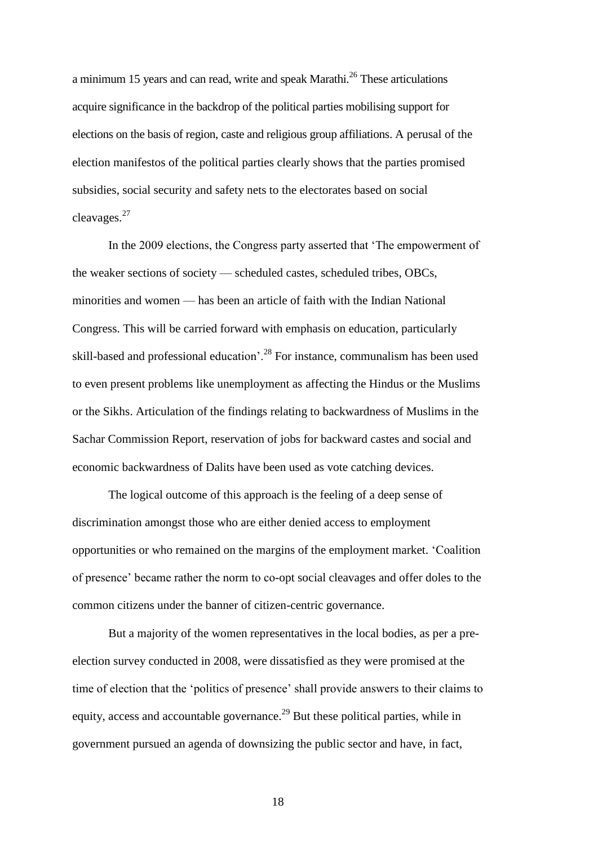a minimum 15 years and can read, write and speak Marathi.<sup>26</sup> These articulations acquire significance in the backdrop of the political parties mobilising support for elections on the basis of region, caste and religious group affiliations. A perusal of the election manifestos of the political parties clearly shows that the parties promised subsidies, social security and safety nets to the electorates based on social cleavages.<sup>27</sup>

In the 2009 elections, the Congress party asserted that 'The empowerment of the weaker sections of society — scheduled castes, scheduled tribes, OBCs, minorities and women — has been an article of faith with the Indian National Congress. This will be carried forward with emphasis on education, particularly skill-based and professional education'.<sup>28</sup> For instance, communalism has been used to even present problems like unemployment as affecting the Hindus or the Muslims or the Sikhs. Articulation of the findings relating to backwardness of Muslims in the Sachar Commission Report, reservation of jobs for backward castes and social and economic backwardness of Dalits have been used as vote catching devices.

The logical outcome of this approach is the feeling of a deep sense of discrimination amongst those who are either denied access to employment opportunities or who remained on the margins of the employment market. ‗Coalition of presence' became rather the norm to co-opt social cleavages and offer doles to the common citizens under the banner of citizen-centric governance.

But a majority of the women representatives in the local bodies, as per a preelection survey conducted in 2008, were dissatisfied as they were promised at the time of election that the 'politics of presence' shall provide answers to their claims to equity, access and accountable governance.<sup>29</sup> But these political parties, while in government pursued an agenda of downsizing the public sector and have, in fact,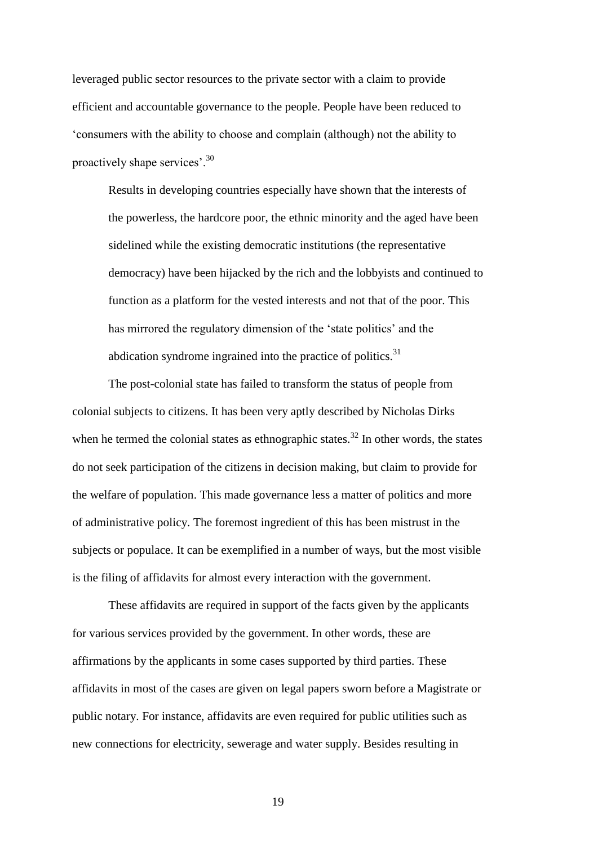leveraged public sector resources to the private sector with a claim to provide efficient and accountable governance to the people. People have been reduced to ‗consumers with the ability to choose and complain (although) not the ability to proactively shape services'.<sup>30</sup>

Results in developing countries especially have shown that the interests of the powerless, the hardcore poor, the ethnic minority and the aged have been sidelined while the existing democratic institutions (the representative democracy) have been hijacked by the rich and the lobbyists and continued to function as a platform for the vested interests and not that of the poor. This has mirrored the regulatory dimension of the 'state politics' and the abdication syndrome ingrained into the practice of politics. $31$ 

The post-colonial state has failed to transform the status of people from colonial subjects to citizens. It has been very aptly described by Nicholas Dirks when he termed the colonial states as ethnographic states.<sup>32</sup> In other words, the states do not seek participation of the citizens in decision making, but claim to provide for the welfare of population. This made governance less a matter of politics and more of administrative policy. The foremost ingredient of this has been mistrust in the subjects or populace. It can be exemplified in a number of ways, but the most visible is the filing of affidavits for almost every interaction with the government.

These affidavits are required in support of the facts given by the applicants for various services provided by the government. In other words, these are affirmations by the applicants in some cases supported by third parties. These affidavits in most of the cases are given on legal papers sworn before a Magistrate or public notary. For instance, affidavits are even required for public utilities such as new connections for electricity, sewerage and water supply. Besides resulting in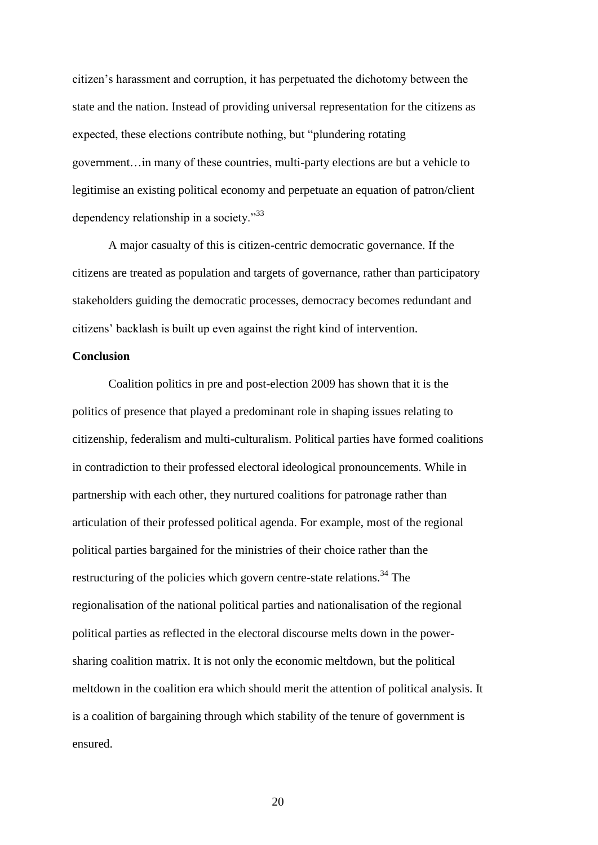citizen's harassment and corruption, it has perpetuated the dichotomy between the state and the nation. Instead of providing universal representation for the citizens as expected, these elections contribute nothing, but "plundering rotating government…in many of these countries, multi-party elections are but a vehicle to legitimise an existing political economy and perpetuate an equation of patron/client dependency relationship in a society. $^{33}$ 

A major casualty of this is citizen-centric democratic governance. If the citizens are treated as population and targets of governance, rather than participatory stakeholders guiding the democratic processes, democracy becomes redundant and citizens' backlash is built up even against the right kind of intervention.

## **Conclusion**

Coalition politics in pre and post-election 2009 has shown that it is the politics of presence that played a predominant role in shaping issues relating to citizenship, federalism and multi-culturalism. Political parties have formed coalitions in contradiction to their professed electoral ideological pronouncements. While in partnership with each other, they nurtured coalitions for patronage rather than articulation of their professed political agenda. For example, most of the regional political parties bargained for the ministries of their choice rather than the restructuring of the policies which govern centre-state relations.<sup>34</sup> The regionalisation of the national political parties and nationalisation of the regional political parties as reflected in the electoral discourse melts down in the powersharing coalition matrix. It is not only the economic meltdown, but the political meltdown in the coalition era which should merit the attention of political analysis. It is a coalition of bargaining through which stability of the tenure of government is ensured.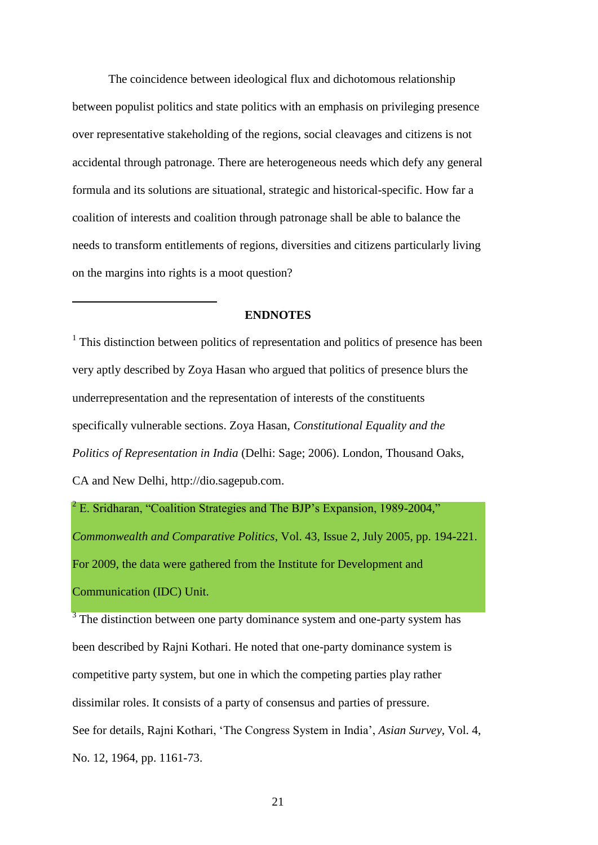The coincidence between ideological flux and dichotomous relationship between populist politics and state politics with an emphasis on privileging presence over representative stakeholding of the regions, social cleavages and citizens is not accidental through patronage. There are heterogeneous needs which defy any general formula and its solutions are situational, strategic and historical-specific. How far a coalition of interests and coalition through patronage shall be able to balance the needs to transform entitlements of regions, diversities and citizens particularly living on the margins into rights is a moot question?

#### **ENDNOTES**

1

<sup>1</sup> This distinction between politics of representation and politics of presence has been very aptly described by Zoya Hasan who argued that politics of presence blurs the underrepresentation and the representation of interests of the constituents specifically vulnerable sections. Zoya Hasan, *Constitutional Equality and the Politics of Representation in India* (Delhi: Sage; 2006). London, Thousand Oaks, CA and New Delhi, http://dio.sagepub.com.

 $2$  E. Sridharan, "Coalition Strategies and The BJP's Expansion, 1989-2004," *Commonwealth and Comparative Politics*, Vol. 43, Issue 2, July 2005, pp. 194-221. For 2009, the data were gathered from the Institute for Development and Communication (IDC) Unit.

<sup>3</sup> The distinction between one party dominance system and one-party system has been described by Rajni Kothari. He noted that one-party dominance system is competitive party system, but one in which the competing parties play rather dissimilar roles. It consists of a party of consensus and parties of pressure. See for details, Rajni Kothari, ‗The Congress System in India', *Asian Survey*, Vol. 4, No. 12, 1964, pp. 1161-73.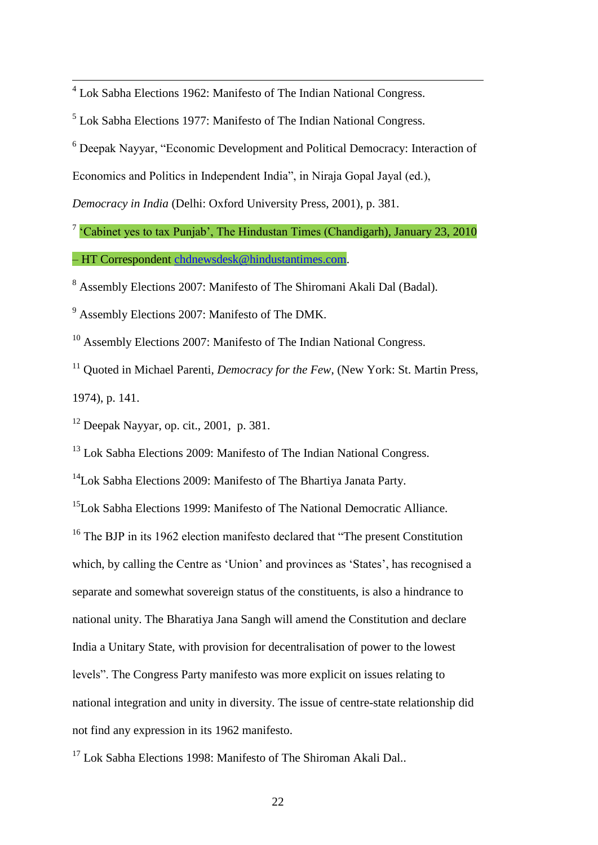4 Lok Sabha Elections 1962: Manifesto of The Indian National Congress.

<sup>5</sup> Lok Sabha Elections 1977: Manifesto of The Indian National Congress.

 $6$  Deepak Nayyar, "Economic Development and Political Democracy: Interaction of

Economics and Politics in Independent India", in Niraja Gopal Jayal (ed.),

*Democracy in India* (Delhi: Oxford University Press, 2001), p. 381.

<sup>7</sup> 'Cabinet yes to tax Punjab', The Hindustan Times (Chandigarh), January 23, 2010

– HT Correspondent [chdnewsdesk@hindustantimes.com.](mailto:chdnewsdesk@hindustantimes.com)

<sup>8</sup> Assembly Elections 2007: Manifesto of The Shiromani Akali Dal (Badal).

<sup>9</sup> Assembly Elections 2007: Manifesto of The DMK.

<sup>10</sup> Assembly Elections 2007: Manifesto of The Indian National Congress.

<sup>11</sup> Quoted in Michael Parenti, *Democracy for the Few*, (New York: St. Martin Press, 1974), p. 141.

 $12$  Deepak Nayyar, op. cit., 2001, p. 381.

<sup>13</sup> Lok Sabha Elections 2009: Manifesto of The Indian National Congress.

<sup>14</sup>Lok Sabha Elections 2009: Manifesto of The Bhartiya Janata Party.

<sup>15</sup>Lok Sabha Elections 1999: Manifesto of The National Democratic Alliance.

 $16$  The BJP in its 1962 election manifesto declared that "The present Constitution" which, by calling the Centre as 'Union' and provinces as 'States', has recognised a separate and somewhat sovereign status of the constituents, is also a hindrance to national unity. The Bharatiya Jana Sangh will amend the Constitution and declare India a Unitary State, with provision for decentralisation of power to the lowest levels". The Congress Party manifesto was more explicit on issues relating to national integration and unity in diversity. The issue of centre-state relationship did not find any expression in its 1962 manifesto.

<sup>17</sup> Lok Sabha Elections 1998: Manifesto of The Shiroman Akali Dal..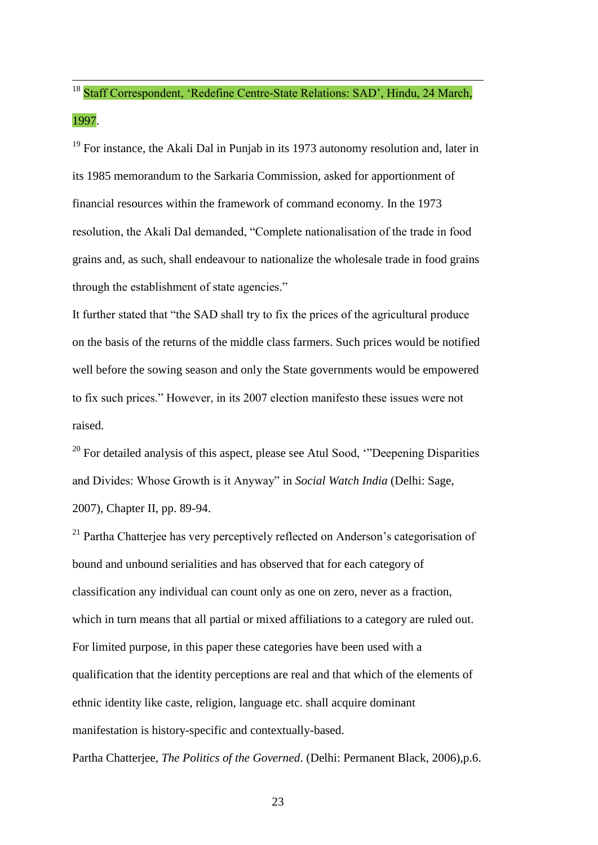# <sup>18</sup> Staff Correspondent, 'Redefine Centre-State Relations: SAD', Hindu, 24 March, 1997.

<u>.</u>

 $19$  For instance, the Akali Dal in Punjab in its 1973 autonomy resolution and, later in its 1985 memorandum to the Sarkaria Commission, asked for apportionment of financial resources within the framework of command economy. In the 1973 resolution, the Akali Dal demanded, "Complete nationalisation of the trade in food grains and, as such, shall endeavour to nationalize the wholesale trade in food grains through the establishment of state agencies."

It further stated that "the SAD shall try to fix the prices of the agricultural produce on the basis of the returns of the middle class farmers. Such prices would be notified well before the sowing season and only the State governments would be empowered to fix such prices." However, in its 2007 election manifesto these issues were not raised.

 $20$  For detailed analysis of this aspect, please see Atul Sood, "Deepening Disparities" and Divides: Whose Growth is it Anyway" in *Social Watch India* (Delhi: Sage, 2007), Chapter II, pp. 89-94.

 $21$  Partha Chatterjee has very perceptively reflected on Anderson's categorisation of bound and unbound serialities and has observed that for each category of classification any individual can count only as one on zero, never as a fraction, which in turn means that all partial or mixed affiliations to a category are ruled out. For limited purpose, in this paper these categories have been used with a qualification that the identity perceptions are real and that which of the elements of ethnic identity like caste, religion, language etc. shall acquire dominant manifestation is history-specific and contextually-based.

Partha Chatterjee, *The Politics of the Governed*. (Delhi: Permanent Black, 2006),p.6.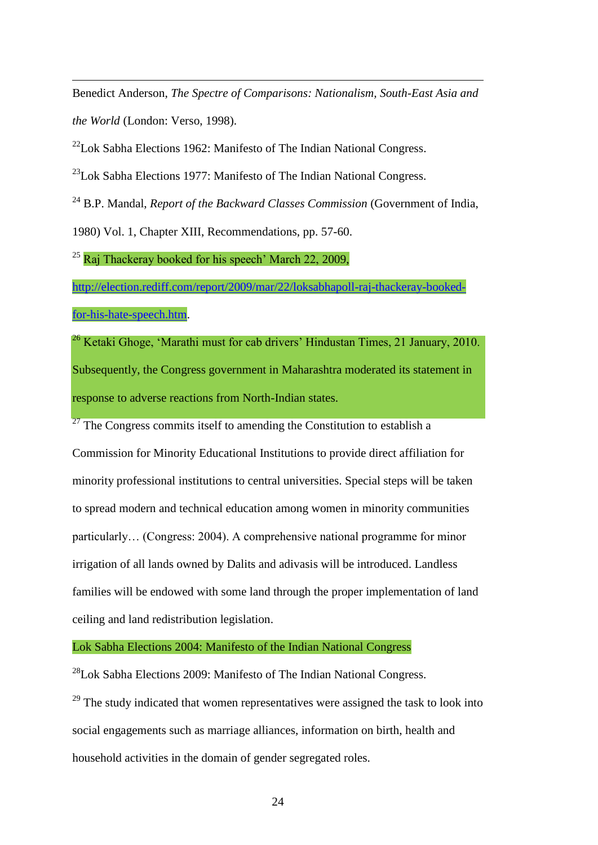Benedict Anderson, *The Spectre of Comparisons: Nationalism, South-East Asia and the World* (London: Verso, 1998).

<sup>22</sup>Lok Sabha Elections 1962: Manifesto of The Indian National Congress.

 $^{23}$ Lok Sabha Elections 1977: Manifesto of The Indian National Congress.

<sup>24</sup> B.P. Mandal, *Report of the Backward Classes Commission* (Government of India,

1980) Vol. 1, Chapter XIII, Recommendations, pp. 57-60.

 $^{25}$  Raj Thackeray booked for his speech' March 22, 2009.

[http://election.rediff.com/report/2009/mar/22/loksabhapoll-raj-thackeray-booked-](http://election.rediff.com/report/2009/mar/22/loksabhapoll-raj-thackeray-booked-for-his-hate-speech.htm)

[for-his-hate-speech.htm.](http://election.rediff.com/report/2009/mar/22/loksabhapoll-raj-thackeray-booked-for-his-hate-speech.htm)

<u>.</u>

<sup>26</sup> Ketaki Ghoge, 'Marathi must for cab drivers' Hindustan Times, 21 January, 2010. Subsequently, the Congress government in Maharashtra moderated its statement in response to adverse reactions from North-Indian states.

 $^{27}$  The Congress commits itself to amending the Constitution to establish a Commission for Minority Educational Institutions to provide direct affiliation for minority professional institutions to central universities. Special steps will be taken to spread modern and technical education among women in minority communities particularly… (Congress: 2004). A comprehensive national programme for minor irrigation of all lands owned by Dalits and adivasis will be introduced. Landless families will be endowed with some land through the proper implementation of land ceiling and land redistribution legislation.

# Lok Sabha Elections 2004: Manifesto of the Indian National Congress

<sup>28</sup>Lok Sabha Elections 2009: Manifesto of The Indian National Congress.

 $29$  The study indicated that women representatives were assigned the task to look into social engagements such as marriage alliances, information on birth, health and household activities in the domain of gender segregated roles.